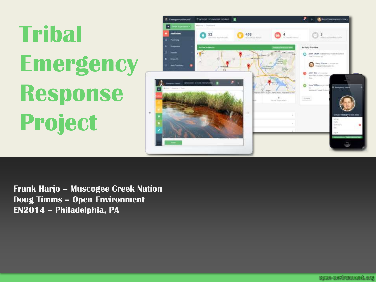



**Frank Harjo – Muscogee Creek Nation Doug Timms – Open Environment EN2014 – Philadelphia, PA**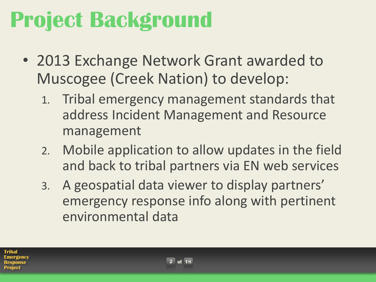## **Project Background**

- 2013 Exchange Network Grant awarded to Muscogee (Creek Nation) to develop:
	- 1. Tribal emergency management standards that address Incident Management and Resource management
	- 2. Mobile application to allow updates in the field and back to tribal partners via EN web services
	- 3. A geospatial data viewer to display partners' emergency response info along with pertinent environmental data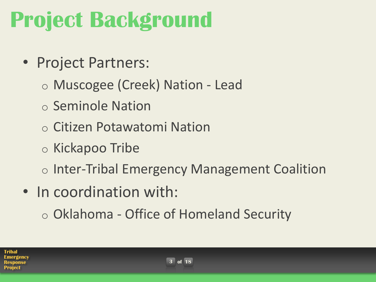## **Project Background**

- Project Partners:
	- o Muscogee (Creek) Nation Lead
	- o Seminole Nation
	- o Citizen Potawatomi Nation
	- o Kickapoo Tribe
	- o Inter-Tribal Emergency Management Coalition
- In coordination with:
	- o Oklahoma Office of Homeland Security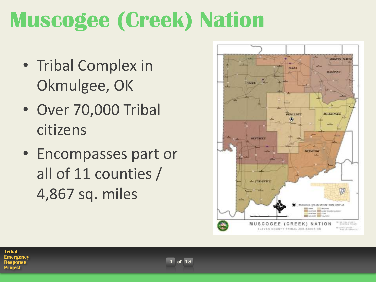## **Muscogee (Creek) Nation**

- Tribal Complex in Okmulgee, OK
- Over 70,000 Tribal citizens
- Encompasses part or all of 11 counties / 4,867 sq. miles

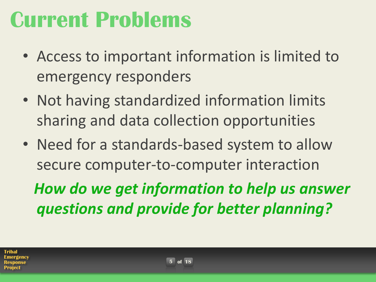## **Current Problems**

- Access to important information is limited to emergency responders
- Not having standardized information limits sharing and data collection opportunities
- Need for a standards-based system to allow secure computer-to-computer interaction

 *How do we get information to help us answer questions and provide for better planning?*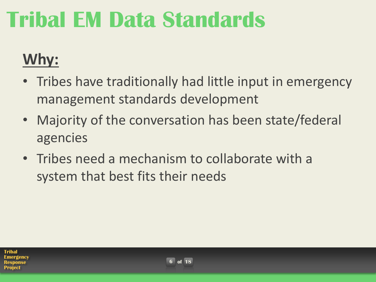### **Why:**

- Tribes have traditionally had little input in emergency management standards development
- Majority of the conversation has been state/federal agencies
- Tribes need a mechanism to collaborate with a system that best fits their needs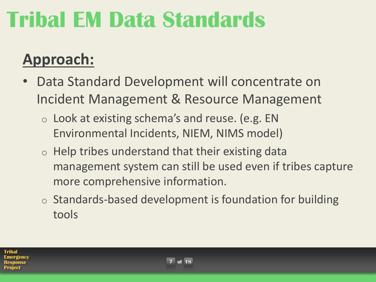### **Approach:**

- Data Standard Development will concentrate on Incident Management & Resource Management
	- o Look at existing schema's and reuse. (e.g. EN Environmental Incidents, NIEM, NIMS model)
	- $\circ$  Help tribes understand that their existing data management system can still be used even if tribes capture more comprehensive information.
	- $\circ$  Standards-based development is foundation for building tools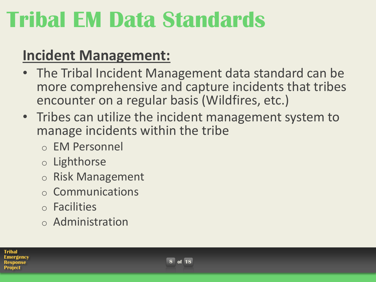#### **Incident Management:**

- The Tribal Incident Management data standard can be more comprehensive and capture incidents that tribes encounter on a regular basis (Wildfires, etc.)
- Tribes can utilize the incident management system to manage incidents within the tribe
	- o EM Personnel
	- o Lighthorse
	- o Risk Management
	- o Communications
	- o Facilities
	- o Administration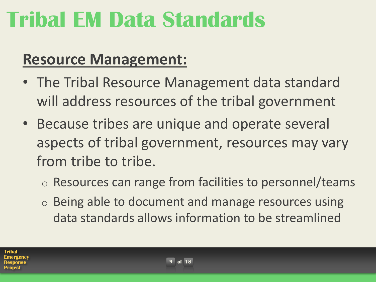### **Resource Management:**

- The Tribal Resource Management data standard will address resources of the tribal government
- Because tribes are unique and operate several aspects of tribal government, resources may vary from tribe to tribe.
	- o Resources can range from facilities to personnel/teams
	- o Being able to document and manage resources using data standards allows information to be streamlined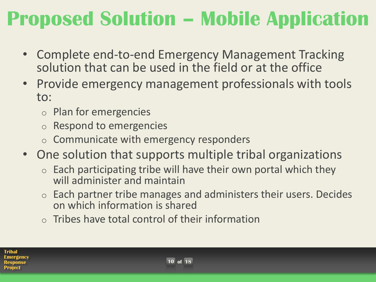### **Proposed Solution – Mobile Application**

- Complete end-to-end Emergency Management Tracking solution that can be used in the field or at the office
- Provide emergency management professionals with tools to:
	- o Plan for emergencies
	- Respond to emergencies
	- $\circ$  Communicate with emergency responders
- One solution that supports multiple tribal organizations
	- $\circ$  Each participating tribe will have their own portal which they will administer and maintain
	- o Each partner tribe manages and administers their users. Decides on which information is shared
	- $\circ$  Tribes have total control of their information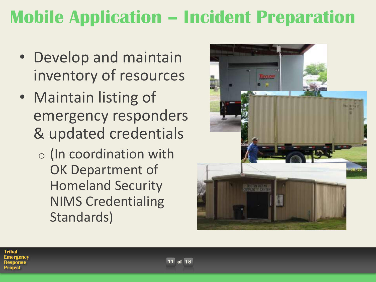### **Mobile Application – Incident Preparation**

- Develop and maintain inventory of resources
- Maintain listing of emergency responders & updated credentials
	- o (In coordination with OK Department of Homeland Security NIMS Credentialing Standards)

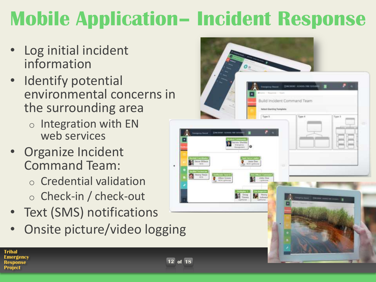## **Mobile Application– Incident Response**

- Log initial incident information
- Identify potential environmental concerns in the surrounding area
	- o Integration with EN web services
- Organize Incident Command Team:
	- o Credential validation
	- o Check-in / check-out
- Text (SMS) notifications
- Onsite picture/video logging

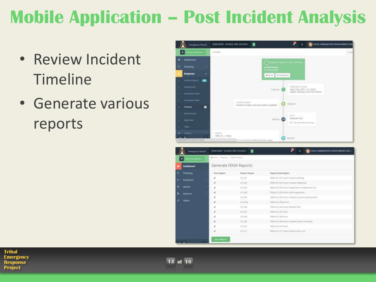### **Mobile Application – Post Incident Analysis**

- Review Incident Timeline
- Generate various reports



| in personal a     | Writers / Teams / TEM-Teyans |                |                                                                                                                                                                                                  |
|-------------------|------------------------------|----------------|--------------------------------------------------------------------------------------------------------------------------------------------------------------------------------------------------|
| Deshboard         | Generate FEMA Reports        |                |                                                                                                                                                                                                  |
| m<br>Platfons     | <b>Nuri Report</b>           | Report Name    | Hepart Description                                                                                                                                                                               |
| <b>Response</b>   | i                            | 13.357         | PENA K'S 201 Pool/chooked bliefug.                                                                                                                                                               |
|                   | ×                            | <b>ICE ZDZ</b> | $\label{eq:QCD} \text{CDM} \left( \mathcal{L} \right) \boxtimes \text{CDM} \left( \text{Perf} \right) \cong \text{CDM} \left( \text{Perf} \right) \otimes \text{CDM} \left( \text{Perf} \right)$ |
| <b>Admin</b><br>۰ | x                            | <b>KETZER</b>  | FEMA ICS 200 Alerm Organization Ausgroment List-                                                                                                                                                 |
| <b>Najakrts</b>   | v                            | 473.764        | <b>ITTL</b><br>FEMALES 20x14 (ms2 FeM Ausgraham)                                                                                                                                                 |
|                   | ı                            | 105.255        | PESAL ICS 205 Permi Inisiant Symmuniations than                                                                                                                                                  |
| kincs:            | ×                            | 973.2834       | FEMA 303 2004 Form                                                                                                                                                                               |
|                   | ê                            | <b>IS28</b>    | Filthin (CS 236 Terms Madical Plats                                                                                                                                                              |
|                   | ¥                            | $-0.10$        | FEMALES 207 Forth                                                                                                                                                                                |
|                   | z                            | 12,218         | <b>Hillis El 28 Form</b>                                                                                                                                                                         |
|                   | é                            | 100.208        | TEMA ICE 2001 (error translate) Statule Surroway                                                                                                                                                 |
|                   | z                            | 式写字段           | FEMALES 210 Form                                                                                                                                                                                 |
|                   | s                            | HOSTIV         | PENA KIS 211 FORM ENVIRONMENT LIKE                                                                                                                                                               |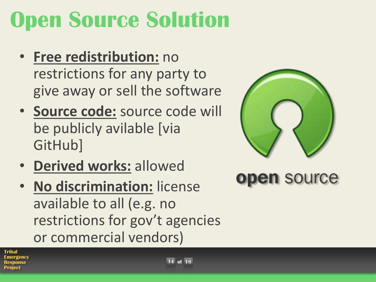## **Open Source Solution**

- **Free redistribution:** no restrictions for any party to give away or sell the software
- **Source code:** source code will be publicly avilable [via GitHub]
- **Derived works:** allowed
- **No discrimination:** license available to all (e.g. no restrictions for gov't agencies or commercial vendors)



open source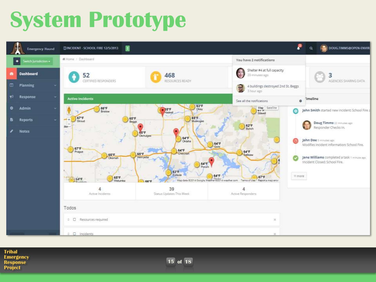## **System Prototype**



**Tribal Emergency Response Project**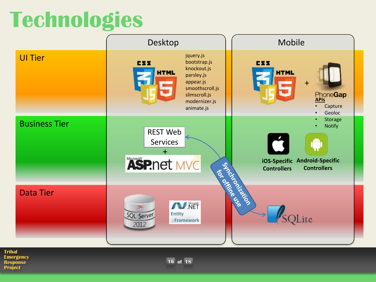## **Technologies**



**Tribal Emergency Response Project**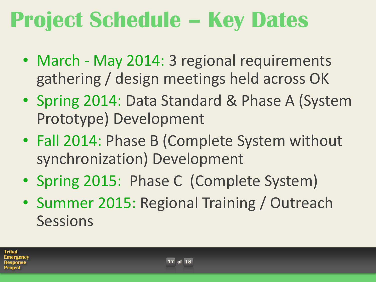## **Project Schedule – Key Dates**

- March May 2014: 3 regional requirements gathering / design meetings held across OK
- Spring 2014: Data Standard & Phase A (System Prototype) Development
- Fall 2014: Phase B (Complete System without synchronization) Development
- Spring 2015: Phase C (Complete System)
- Summer 2015: Regional Training / Outreach **Sessions**